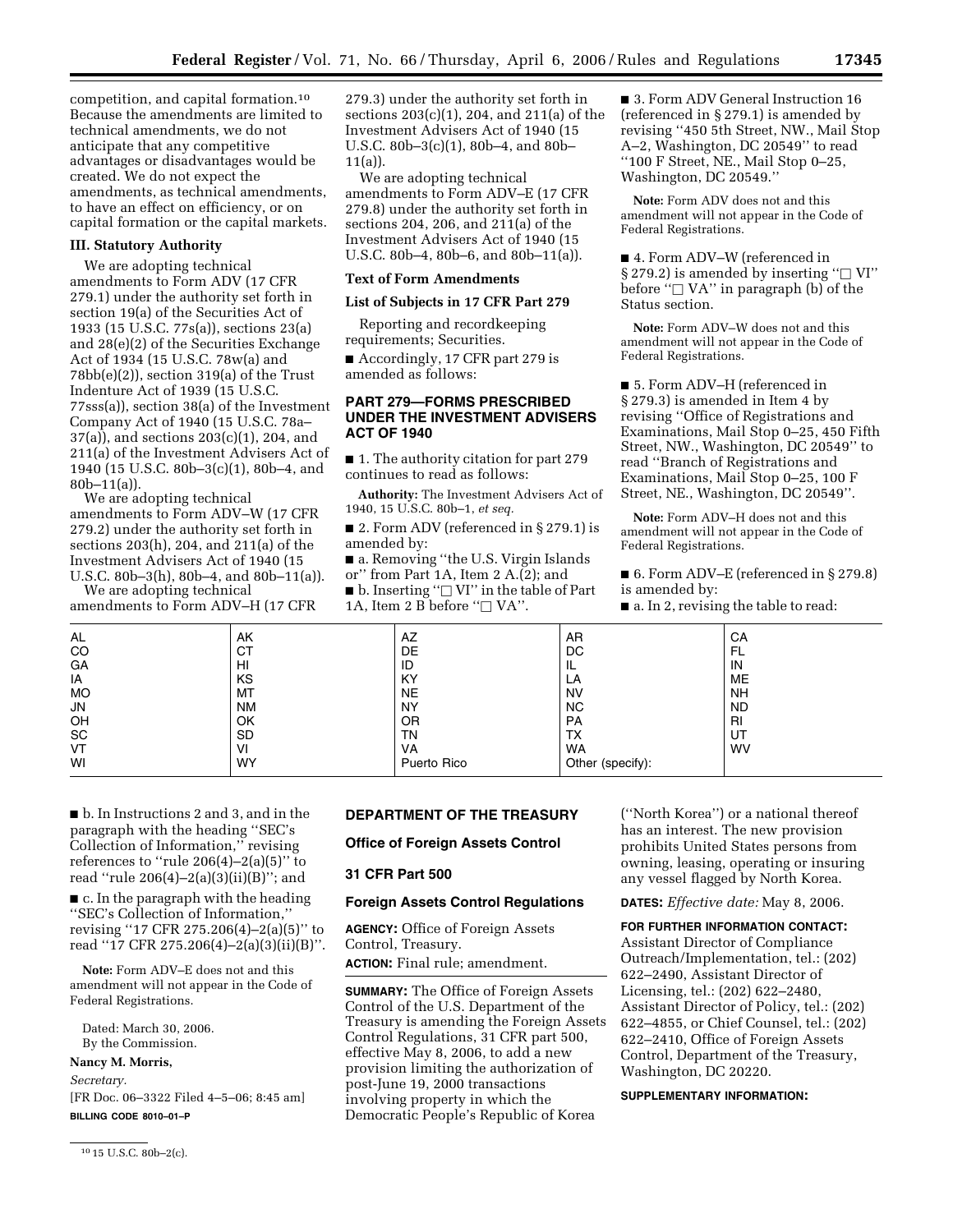competition, and capital formation.10 Because the amendments are limited to technical amendments, we do not anticipate that any competitive advantages or disadvantages would be created. We do not expect the amendments, as technical amendments, to have an effect on efficiency, or on capital formation or the capital markets.

### **III. Statutory Authority**

We are adopting technical amendments to Form ADV (17 CFR 279.1) under the authority set forth in section 19(a) of the Securities Act of 1933 (15 U.S.C. 77s(a)), sections 23(a) and 28(e)(2) of the Securities Exchange Act of 1934 (15 U.S.C. 78w(a) and 78bb(e)(2)), section 319(a) of the Trust Indenture Act of 1939 (15 U.S.C. 77sss(a)), section 38(a) of the Investment Company Act of 1940 (15 U.S.C. 78a– 37(a)), and sections 203(c)(1), 204, and 211(a) of the Investment Advisers Act of 1940 (15 U.S.C. 80b–3(c)(1), 80b–4, and 80b–11(a)).

We are adopting technical amendments to Form ADV–W (17 CFR 279.2) under the authority set forth in sections 203(h), 204, and 211(a) of the Investment Advisers Act of 1940 (15 U.S.C. 80b–3(h), 80b–4, and 80b–11(a)).

We are adopting technical amendments to Form ADV–H (17 CFR

279.3) under the authority set forth in sections 203(c)(1), 204, and 211(a) of the Investment Advisers Act of 1940 (15 U.S.C. 80b–3(c)(1), 80b–4, and 80b– 11(a)).

We are adopting technical amendments to Form ADV–E (17 CFR 279.8) under the authority set forth in sections 204, 206, and 211(a) of the Investment Advisers Act of 1940 (15 U.S.C. 80b–4, 80b–6, and 80b–11(a)).

### **Text of Form Amendments**

#### **List of Subjects in 17 CFR Part 279**

Reporting and recordkeeping requirements; Securities.

■ Accordingly, 17 CFR part 279 is amended as follows:

## **PART 279—FORMS PRESCRIBED UNDER THE INVESTMENT ADVISERS ACT OF 1940**

■ 1. The authority citation for part 279 continues to read as follows:

**Authority:** The Investment Advisers Act of 1940, 15 U.S.C. 80b–1, *et seq.* 

■ 2. Form ADV (referenced in § 279.1) is amended by:

■ a. Removing "the U.S. Virgin Islands or'' from Part 1A, Item 2 A.(2); and

 $\blacksquare$  b. Inserting " $\Box$  VI" in the table of Part 1A, Item 2 B before " $\Box$  VA".

■ 3. Form ADV General Instruction 16 (referenced in § 279.1) is amended by revising ''450 5th Street, NW., Mail Stop A–2, Washington, DC 20549'' to read ''100 F Street, NE., Mail Stop 0–25, Washington, DC 20549.''

**Note:** Form ADV does not and this amendment will not appear in the Code of Federal Registrations.

■ 4. Form ADV–W (referenced in § 279.2) is amended by inserting " $\Box$  VI" before " $\Box$  VA" in paragraph (b) of the Status section.

**Note:** Form ADV–W does not and this amendment will not appear in the Code of Federal Registrations.

■ 5. Form ADV–H (referenced in § 279.3) is amended in Item 4 by revising ''Office of Registrations and Examinations, Mail Stop 0–25, 450 Fifth Street, NW., Washington, DC 20549'' to read ''Branch of Registrations and Examinations, Mail Stop 0–25, 100 F Street, NE., Washington, DC 20549''.

**Note:** Form ADV–H does not and this amendment will not appear in the Code of Federal Registrations.

■ 6. Form ADV–E (referenced in § 279.8) is amended by:

■ a. In 2, revising the table to read:

| AL<br>CO                     | AK<br>CТ  | AZ<br>DE    | AR<br>DC         | CA<br>FL  |
|------------------------------|-----------|-------------|------------------|-----------|
| GA                           | HI        | ID          | IL               | IN        |
| IA                           | KS        | KY          | LA               | <b>ME</b> |
| <b>MO</b>                    | MT        | <b>NE</b>   | <b>NV</b>        | <b>NH</b> |
| ${\sf JN}$                   | ΝM        | NY          | <b>NC</b>        | <b>ND</b> |
| OH                           | OK        | 0R          | PA               | RI        |
| $\operatorname{\textsf{SC}}$ | <b>SD</b> | ΤN          | <b>TX</b>        | UT        |
| VT                           | VI        | VA          | WA               | <b>WV</b> |
| WI                           | <b>WY</b> | Puerto Rico | Other (specify): |           |
|                              |           |             |                  |           |

■ b. In Instructions 2 and 3, and in the paragraph with the heading ''SEC's Collection of Information,'' revising references to "rule  $206(4)-2(a)(5)$ " to read ''rule 206(4)–2(a)(3)(ii)(B)''; and

■ c. In the paragraph with the heading ''SEC's Collection of Information,'' revising ''17 CFR 275.206(4)–2(a)(5)'' to read ''17 CFR 275.206(4)–2(a)(3)(ii)(B)''.

**Note:** Form ADV–E does not and this amendment will not appear in the Code of Federal Registrations.

Dated: March 30, 2006. By the Commission.

#### **Nancy M. Morris,**

*Secretary.*  [FR Doc. 06–3322 Filed 4–5–06; 8:45 am]

**BILLING CODE 8010–01–P** 

10 15 U.S.C. 80b–2(c).

# **DEPARTMENT OF THE TREASURY**

## **Office of Foreign Assets Control**

### **31 CFR Part 500**

#### **Foreign Assets Control Regulations**

**AGENCY:** Office of Foreign Assets Control, Treasury.

**ACTION:** Final rule; amendment.

**SUMMARY:** The Office of Foreign Assets Control of the U.S. Department of the Treasury is amending the Foreign Assets Control Regulations, 31 CFR part 500, effective May 8, 2006, to add a new provision limiting the authorization of post-June 19, 2000 transactions involving property in which the Democratic People's Republic of Korea

(''North Korea'') or a national thereof has an interest. The new provision prohibits United States persons from owning, leasing, operating or insuring any vessel flagged by North Korea.

**DATES:** *Effective date:* May 8, 2006.

**FOR FURTHER INFORMATION CONTACT:**  Assistant Director of Compliance Outreach/Implementation, tel.: (202) 622–2490, Assistant Director of Licensing, tel.: (202) 622–2480, Assistant Director of Policy, tel.: (202) 622–4855, or Chief Counsel, tel.: (202) 622–2410, Office of Foreign Assets Control, Department of the Treasury, Washington, DC 20220.

#### **SUPPLEMENTARY INFORMATION:**